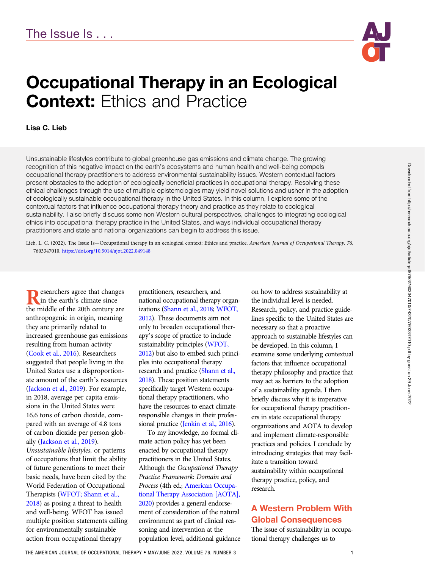

# Occupational Therapy in an Ecological **Context: Ethics and Practice**

### Lisa C. Lieb

Unsustainable lifestyles contribute to global greenhouse gas emissions and climate change. The growing recognition of this negative impact on the earth's ecosystems and human health and well-being compels occupational therapy practitioners to address environmental sustainability issues. Western contextual factors present obstacles to the adoption of ecologically beneficial practices in occupational therapy. Resolving these ethical challenges through the use of multiple epistemologies may yield novel solutions and usher in the adoption of ecologically sustainable occupational therapy in the United States. In this column, I explore some of the contextual factors that influence occupational therapy theory and practice as they relate to ecological sustainability. I also briefly discuss some non-Western cultural perspectives, challenges to integrating ecological ethics into occupational therapy practice in the United States, and ways individual occupational therapy practitioners and state and national organizations can begin to address this issue.

Lieb, L. C. (2022). The Issue Is—Occupational therapy in an ecological context: Ethics and practice. American Journal of Occupational Therapy, 76, 7603347010. https://doi.org/10.5014/ajot.2022.049148

**Researchers agree that changes**<br>the middle of the 20th century are the middle of the 20th century are anthropogenic in origin, meaning they are primarily related to increased greenhouse gas emissions resulting from human activity [\(Cook et al., 2016](#page-3-0)). Researchers suggested that people living in the United States use a disproportionate amount of the earth's resources [\(Jackson et al., 2019](#page-3-0)). For example, in 2018, average per capita emissions in the United States were 16.6 tons of carbon dioxide, compared with an average of 4.8 tons of carbon dioxide per person globally [\(Jackson et al., 2019](#page-3-0)). Unsustainable lifestyles, or patterns of occupations that limit the ability of future generations to meet their basic needs, have been cited by the World Federation of Occupational Therapists ([WFOT; Shann et al.,](#page-3-0) [2018](#page-3-0)) as posing a threat to health and well-being. WFOT has issued multiple position statements calling for environmentally sustainable

action from occupational therapy

practitioners, researchers, and national occupational therapy organizations ([Shann et al., 2018;](#page-3-0) [WFOT,](#page-3-0) [2012\)](#page-3-0). These documents aim not only to broaden occupational therapy's scope of practice to include sustainability principles [\(WFOT,](#page-3-0) [2012\)](#page-3-0) but also to embed such principles into occupational therapy research and practice [\(Shann et al.,](#page-3-0) [2018\)](#page-3-0). These position statements specifically target Western occupational therapy practitioners, who have the resources to enact climateresponsible changes in their profes-sional practice [\(Jenkin et al., 2016\)](#page-3-0).

To my knowledge, no formal climate action policy has yet been enacted by occupational therapy practitioners in the United States. Although the Occupational Therapy Practice Framework: Domain and Process (4th ed.; [American Occupa](#page-3-0)[tional Therapy Association \[AOTA\],](#page-3-0) [2020\)](#page-3-0) provides a general endorsement of consideration of the natural environment as part of clinical reasoning and intervention at the population level, additional guidance

on how to address sustainability at the individual level is needed. Research, policy, and practice guidelines specific to the United States are necessary so that a proactive approach to sustainable lifestyles can be developed. In this column, I examine some underlying contextual factors that influence occupational therapy philosophy and practice that may act as barriers to the adoption of a sustainability agenda. I then briefly discuss why it is imperative for occupational therapy practitioners in state occupational therapy organizations and AOTA to develop and implement climate-responsible practices and policies. I conclude by introducing strategies that may facilitate a transition toward sustainability within occupational therapy practice, policy, and research.

# A Western Problem With Global Consequences

The issue of sustainability in occupational therapy challenges us to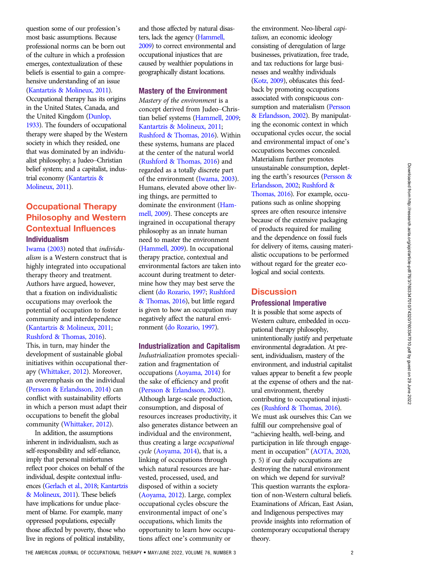question some of our profession's most basic assumptions. Because professional norms can be born out of the culture in which a profession emerges, contextualization of these beliefs is essential to gain a comprehensive understanding of an issue [\(Kantartzis & Molineux, 2011](#page-3-0)). Occupational therapy has its origins in the United States, Canada, and the United Kingdom [\(Dunlop,](#page-3-0) [1933\)](#page-3-0). The founders of occupational therapy were shaped by the Western society in which they resided, one that was dominated by an individualist philosophy; a Judeo–Christian belief system; and a capitalist, industrial economy [\(Kantartzis &](#page-3-0) [Molineux, 2011](#page-3-0)).

# Occupational Therapy Philosophy and Western Contextual Influences Individualism

[Iwama \(2003\)](#page-3-0) noted that individualism is a Western construct that is highly integrated into occupational therapy theory and treatment. Authors have argued, however, that a fixation on individualistic occupations may overlook the potential of occupation to foster community and interdependence [\(Kantartzis & Molineux, 2011;](#page-3-0) [Rushford & Thomas, 2016](#page-3-0)).

This, in turn, may hinder the development of sustainable global initiatives within occupational therapy ([Whittaker, 2012\)](#page-3-0). Moreover, an overemphasis on the individual [\(Persson & Erlandsson, 2014](#page-3-0)) can conflict with sustainability efforts in which a person must adapt their occupations to benefit the global community [\(Whittaker, 2012\)](#page-3-0).

In addition, the assumptions inherent in individualism, such as self-responsibility and self-reliance, imply that personal misfortunes reflect poor choices on behalf of the individual, despite contextual influences [\(Gerlach et al., 2018;](#page-3-0) [Kantartzis](#page-3-0) [& Molineux, 2011](#page-3-0)). These beliefs have implications for undue placement of blame. For example, many oppressed populations, especially those affected by poverty, those who live in regions of political instability,

and those affected by natural disasters, lack the agency [\(Hammell,](#page-3-0) [2009\)](#page-3-0) to correct environmental and occupational injustices that are caused by wealthier populations in geographically distant locations.

#### Mastery of the Environment

Mastery of the environment is a concept derived from Judeo–Christian belief systems [\(Hammell, 2009;](#page-3-0) [Kantartzis & Molineux, 2011;](#page-3-0) [Rushford & Thomas, 2016](#page-3-0)). Within these systems, humans are placed at the center of the natural world [\(Rushford & Thomas, 2016\)](#page-3-0) and regarded as a totally discrete part of the environment [\(Iwama, 2003](#page-3-0)). Humans, elevated above other living things, are permitted to dominate the environment ([Ham](#page-3-0)[mell, 2009](#page-3-0)). These concepts are ingrained in occupational therapy philosophy as an innate human need to master the environment [\(Hammell, 2009\)](#page-3-0). In occupational therapy practice, contextual and environmental factors are taken into account during treatment to determine how they may best serve the client ([do Rozario, 1997;](#page-3-0) [Rushford](#page-3-0) [& Thomas, 2016](#page-3-0)), but little regard is given to how an occupation may negatively affect the natural environment [\(do Rozario, 1997\)](#page-3-0).

#### Industrialization and Capitalism

Industrialization promotes specialization and fragmentation of occupations ([Aoyama, 2014\)](#page-3-0) for the sake of efficiency and profit [\(Persson & Erlandsson, 2002](#page-3-0)). Although large-scale production, consumption, and disposal of resources increases productivity, it also generates distance between an individual and the environment, thus creating a large occupational cycle ([Aoyama, 2014\)](#page-3-0), that is, a linking of occupations through which natural resources are harvested, processed, used, and disposed of within a society [\(Aoyama, 2012](#page-3-0)). Large, complex occupational cycles obscure the environmental impact of one's occupations, which limits the opportunity to learn how occupations affect one's community or

the environment. Neo-liberal capitalism, an economic ideology consisting of deregulation of large businesses, privatization, free trade, and tax reductions for large businesses and wealthy individuals [\(Kotz, 2009\)](#page-3-0), obfuscates this feedback by promoting occupations associated with conspicuous consumption and materialism ([Persson](#page-3-0) [& Erlandsson, 2002\)](#page-3-0). By manipulating the economic context in which occupational cycles occur, the social and environmental impact of one's occupations becomes concealed. Materialism further promotes unsustainable consumption, depleting the earth's resources [\(Persson &](#page-3-0) [Erlandsson, 2002;](#page-3-0) [Rushford &](#page-3-0) [Thomas, 2016\)](#page-3-0). For example, occupations such as online shopping sprees are often resource intensive because of the extensive packaging of products required for mailing and the dependence on fossil fuels for delivery of items, causing materialistic occupations to be performed without regard for the greater ecological and social contexts.

## **Discussion** Professional Imperative

It is possible that some aspects of Western culture, embedded in occupational therapy philosophy, unintentionally justify and perpetuate environmental degradation. At present, individualism, mastery of the environment, and industrial capitalist values appear to benefit a few people at the expense of others and the natural environment, thereby contributing to occupational injustices [\(Rushford & Thomas, 2016\)](#page-3-0). We must ask ourselves this: Can we fulfill our comprehensive goal of "achieving health, well-being, and participation in life through engagement in occupation" ([AOTA, 2020,](#page-3-0) p. 5) if our daily occupations are destroying the natural environment on which we depend for survival? This question warrants the exploration of non-Western cultural beliefs. Examinations of African, East Asian, and Indigenous perspectives may provide insights into reformation of contemporary occupational therapy theory.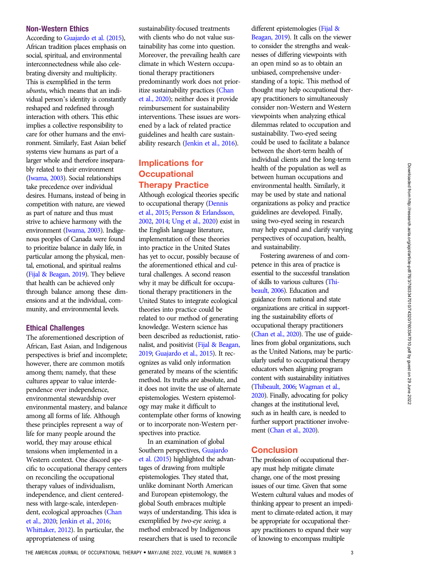## Non-Western Ethics

According to [Guajardo et al. \(2015](#page-3-0)), African tradition places emphasis on social, spiritual, and environmental interconnectedness while also celebrating diversity and multiplicity. This is exemplified in the term ubuntu, which means that an individual person's identity is constantly reshaped and redefined through interaction with others. This ethic implies a collective responsibility to care for other humans and the environment. Similarly, East Asian belief systems view humans as part of a larger whole and therefore inseparably related to their environment [\(Iwama, 2003\)](#page-3-0). Social relationships take precedence over individual desires. Humans, instead of being in competition with nature, are viewed as part of nature and thus must strive to achieve harmony with the environment [\(Iwama, 2003](#page-3-0)). Indigenous peoples of Canada were found to prioritize balance in daily life, in particular among the physical, mental, emotional, and spiritual realms [\(Fijal & Beagan, 2019\)](#page-3-0). They believe that health can be achieved only through balance among these dimensions and at the individual, community, and environmental levels.

### Ethical Challenges

The aforementioned description of African, East Asian, and Indigenous perspectives is brief and incomplete; however, there are common motifs among them; namely, that these cultures appear to value interdependence over independence, environmental stewardship over environmental mastery, and balance among all forms of life. Although these principles represent a way of life for many people around the world, they may arouse ethical tensions when implemented in a Western context. One discord specific to occupational therapy centers on reconciling the occupational therapy values of individualism, independence, and client centeredness with large-scale, interdependent, ecological approaches ([Chan](#page-3-0) [et al., 2020;](#page-3-0) [Jenkin et al., 2016](#page-3-0); [Whittaker, 2012\)](#page-3-0). In particular, the appropriateness of using

sustainability-focused treatments with clients who do not value sustainability has come into question. Moreover, the prevailing health care climate in which Western occupational therapy practitioners predominantly work does not prioritize sustainability practices [\(Chan](#page-3-0) [et al., 2020\)](#page-3-0); neither does it provide reimbursement for sustainability interventions. These issues are worsened by a lack of related practice guidelines and health care sustainability research [\(Jenkin et al., 2016\)](#page-3-0).

## Implications for **Occupational** Therapy Practice

Although ecological theories specific to occupational therapy ([Dennis](#page-3-0) [et al., 2015;](#page-3-0) [Persson & Erlandsson,](#page-3-0) [2002,](#page-3-0) [2014;](#page-3-0) [Ung et al., 2020\)](#page-3-0) exist in the English language literature, implementation of these theories into practice in the United States has yet to occur, possibly because of the aforementioned ethical and cultural challenges. A second reason why it may be difficult for occupational therapy practitioners in the United States to integrate ecological theories into practice could be related to our method of generating knowledge. Western science has been described as reductionist, rationalist, and positivist [\(Fijal & Beagan,](#page-3-0) [2019;](#page-3-0) [Guajardo et al., 2015\)](#page-3-0). It recognizes as valid only information generated by means of the scientific method. Its truths are absolute, and it does not invite the use of alternate epistemologies. Western epistemology may make it difficult to contemplate other forms of knowing or to incorporate non-Western perspectives into practice.

In an examination of global Southern perspectives, [Guajardo](#page-3-0) [et al. \(2015\)](#page-3-0) highlighted the advantages of drawing from multiple epistemologies. They stated that, unlike dominant North American and European epistemology, the global South embraces multiple ways of understanding. This idea is exemplified by two-eye seeing, a method embraced by Indigenous researchers that is used to reconcile different epistemologies ([Fijal &](#page-3-0) [Beagan, 2019\)](#page-3-0). It calls on the viewer to consider the strengths and weaknesses of differing viewpoints with an open mind so as to obtain an unbiased, comprehensive understanding of a topic. This method of thought may help occupational therapy practitioners to simultaneously consider non-Western and Western viewpoints when analyzing ethical dilemmas related to occupation and sustainability. Two-eyed seeing could be used to facilitate a balance between the short-term health of individual clients and the long-term health of the population as well as between human occupations and environmental health. Similarly, it may be used by state and national organizations as policy and practice guidelines are developed. Finally, using two-eyed seeing in research may help expand and clarify varying perspectives of occupation, health, and sustainability.

Fostering awareness of and competence in this area of practice is essential to the successful translation of skills to various cultures [\(Thi](#page-3-0)[beault, 2006](#page-3-0)). Education and guidance from national and state organizations are critical in supporting the sustainability efforts of occupational therapy practitioners [\(Chan et al., 2020\)](#page-3-0). The use of guidelines from global organizations, such as the United Nations, may be particularly useful to occupational therapy educators when aligning program content with sustainability initiatives [\(Thibeault, 2006](#page-3-0); [Wagman et al.,](#page-3-0) [2020](#page-3-0)). Finally, advocating for policy changes at the institutional level, such as in health care, is needed to further support practitioner involve-ment [\(Chan et al., 2020\)](#page-3-0).

### **Conclusion**

The profession of occupational therapy must help mitigate climate change, one of the most pressing issues of our time. Given that some Western cultural values and modes of thinking appear to present an impediment to climate-related action, it may be appropriate for occupational therapy practitioners to expand their way of knowing to encompass multiple